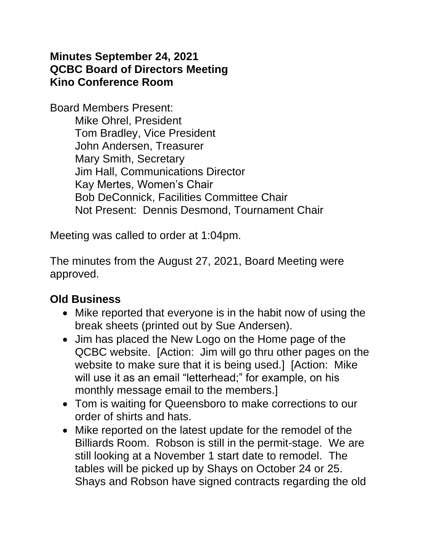### **Minutes September 24, 2021 QCBC Board of Directors Meeting Kino Conference Room**

Board Members Present: Mike Ohrel, President Tom Bradley, Vice President John Andersen, Treasurer Mary Smith, Secretary Jim Hall, Communications Director Kay Mertes, Women's Chair Bob DeConnick, Facilities Committee Chair Not Present: Dennis Desmond, Tournament Chair

Meeting was called to order at 1:04pm.

The minutes from the August 27, 2021, Board Meeting were approved.

## **Old Business**

- Mike reported that everyone is in the habit now of using the break sheets (printed out by Sue Andersen).
- Jim has placed the New Logo on the Home page of the QCBC website. [Action: Jim will go thru other pages on the website to make sure that it is being used.] [Action: Mike will use it as an email "letterhead;" for example, on his monthly message email to the members.]
- Tom is waiting for Queensboro to make corrections to our order of shirts and hats.
- Mike reported on the latest update for the remodel of the Billiards Room. Robson is still in the permit-stage. We are still looking at a November 1 start date to remodel. The tables will be picked up by Shays on October 24 or 25. Shays and Robson have signed contracts regarding the old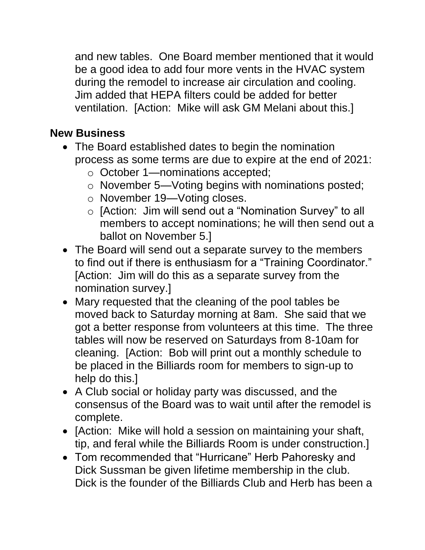and new tables. One Board member mentioned that it would be a good idea to add four more vents in the HVAC system during the remodel to increase air circulation and cooling. Jim added that HEPA filters could be added for better ventilation. [Action: Mike will ask GM Melani about this.]

## **New Business**

- The Board established dates to begin the nomination process as some terms are due to expire at the end of 2021:
	- o October 1—nominations accepted;
	- o November 5—Voting begins with nominations posted;
	- o November 19—Voting closes.
	- o [Action: Jim will send out a "Nomination Survey" to all members to accept nominations; he will then send out a ballot on November 5.]
- The Board will send out a separate survey to the members to find out if there is enthusiasm for a "Training Coordinator." [Action: Jim will do this as a separate survey from the nomination survey.]
- Mary requested that the cleaning of the pool tables be moved back to Saturday morning at 8am. She said that we got a better response from volunteers at this time. The three tables will now be reserved on Saturdays from 8-10am for cleaning. [Action: Bob will print out a monthly schedule to be placed in the Billiards room for members to sign-up to help do this.]
- A Club social or holiday party was discussed, and the consensus of the Board was to wait until after the remodel is complete.
- [Action: Mike will hold a session on maintaining your shaft, tip, and feral while the Billiards Room is under construction.]
- Tom recommended that "Hurricane" Herb Pahoresky and Dick Sussman be given lifetime membership in the club. Dick is the founder of the Billiards Club and Herb has been a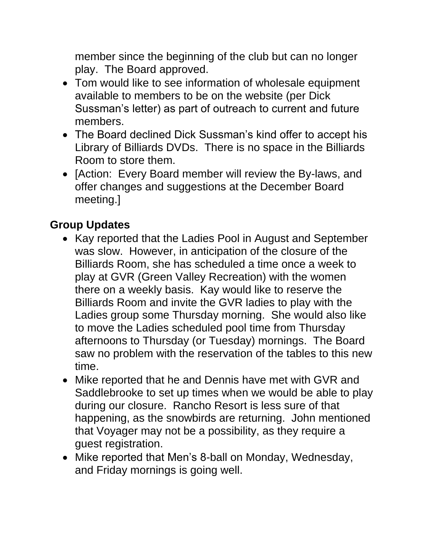member since the beginning of the club but can no longer play. The Board approved.

- Tom would like to see information of wholesale equipment available to members to be on the website (per Dick Sussman's letter) as part of outreach to current and future members.
- The Board declined Dick Sussman's kind offer to accept his Library of Billiards DVDs. There is no space in the Billiards Room to store them.
- [Action: Every Board member will review the By-laws, and offer changes and suggestions at the December Board meeting.]

# **Group Updates**

- Kay reported that the Ladies Pool in August and September was slow. However, in anticipation of the closure of the Billiards Room, she has scheduled a time once a week to play at GVR (Green Valley Recreation) with the women there on a weekly basis. Kay would like to reserve the Billiards Room and invite the GVR ladies to play with the Ladies group some Thursday morning. She would also like to move the Ladies scheduled pool time from Thursday afternoons to Thursday (or Tuesday) mornings. The Board saw no problem with the reservation of the tables to this new time.
- Mike reported that he and Dennis have met with GVR and Saddlebrooke to set up times when we would be able to play during our closure. Rancho Resort is less sure of that happening, as the snowbirds are returning. John mentioned that Voyager may not be a possibility, as they require a guest registration.
- Mike reported that Men's 8-ball on Monday, Wednesday, and Friday mornings is going well.